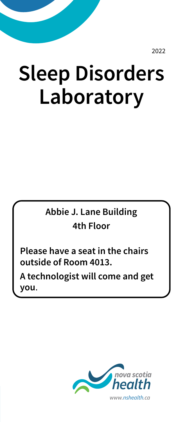2022

# **Sleep Disorders Laboratory**

#### **Abbie J. Lane Building 4th Floor**

**Please have a seat in the chairs outside of Room 4013.** 

**A technologist will come and get you**.

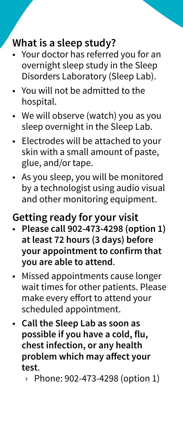## **What is a sleep study?**

- Your doctor has referred you for an overnight sleep study in the Sleep Disorders Laboratory (Sleep Lab).
- You will not be admitted to the hospital.
- We will observe (watch) you as you sleep overnight in the Sleep Lab.
- Electrodes will be attached to your skin with a small amount of paste, glue, and/or tape.
- As you sleep, you will be monitored by a technologist using audio visual and other monitoring equipment.

# **Getting ready for your visit**

- **Please call 902-473-4298 (option 1) at least 72 hours (3 days) before your appointment to confirm that you are able to attend**.
- Missed appointments cause longer wait times for other patients. Please make every effort to attend your scheduled appointment.
- **Call the Sleep Lab as soon as possible if you have a cold, flu, chest infection, or any health problem which may affect your test**.
	- › Phone: 902-473-4298 (option 1)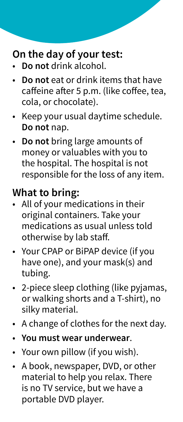# **On the day of your test:**

- **Do not** drink alcohol.
- **Do not** eat or drink items that have caffeine after 5 p.m. (like coffee, tea, cola, or chocolate).
- Keep your usual daytime schedule. **Do not** nap.
- **Do not** bring large amounts of money or valuables with you to the hospital. The hospital is not responsible for the loss of any item.

# **What to bring:**

- All of your medications in their original containers. Take your medications as usual unless told otherwise by lab staff.
- Your CPAP or BiPAP device (if you have one), and your mask(s) and tubing.
- 2-piece sleep clothing (like pyjamas, or walking shorts and a T-shirt), no silky material.
- A change of clothes for the next day.
- **You must wear underwear**.
- Your own pillow (if you wish).
- A book, newspaper, DVD, or other material to help you relax. There is no TV service, but we have a portable DVD player.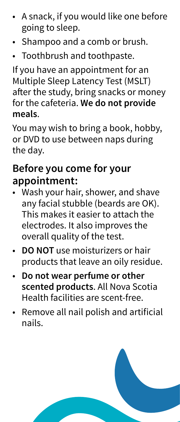- A snack, if you would like one before going to sleep.
- Shampoo and a comb or brush.
- Toothbrush and toothpaste.

If you have an appointment for an Multiple Sleep Latency Test (MSLT) after the study, bring snacks or money for the cafeteria. **We do not provide meals**.

You may wish to bring a book, hobby, or DVD to use between naps during the day.

#### **Before you come for your appointment:**

- Wash your hair, shower, and shave any facial stubble (beards are OK). This makes it easier to attach the electrodes. It also improves the overall quality of the test.
- **DO NOT** use moisturizers or hair products that leave an oily residue.
- **Do not wear perfume or other scented products**. All Nova Scotia Health facilities are scent-free.
- Remove all nail polish and artificial nails.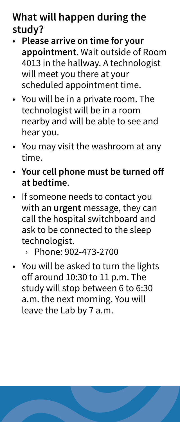# **What will happen during the study?**

- **Please arrive on time for your appointment**. Wait outside of Room 4013 in the hallway. A technologist will meet you there at your scheduled appointment time.
- You will be in a private room. The technologist will be in a room nearby and will be able to see and hear you.
- You may visit the washroom at any time.
- **Your cell phone must be turned off at bedtime**.
- If someone needs to contact you with an **urgent** message, they can call the hospital switchboard and ask to be connected to the sleep technologist.
	- › Phone: 902-473-2700
- You will be asked to turn the lights off around 10:30 to 11 p.m. The study will stop between 6 to 6:30 a.m. the next morning. You will leave the Lab by 7 a.m.